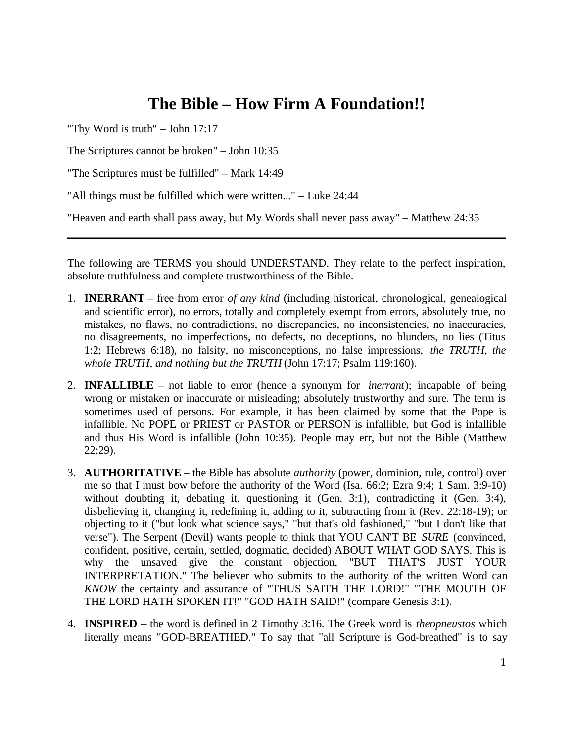## **The Bible – How Firm A Foundation!!**

"Thy Word is truth" – John 17:17

The Scriptures cannot be broken" – John 10:35

"The Scriptures must be fulfilled" – Mark 14:49

"All things must be fulfilled which were written..." – Luke 24:44

"Heaven and earth shall pass away, but My Words shall never pass away" – Matthew 24:35

The following are TERMS you should UNDERSTAND. They relate to the perfect inspiration, absolute truthfulness and complete trustworthiness of the Bible.

- 1. **INERRANT** free from error *of any kind* (including historical, chronological, genealogical and scientific error), no errors, totally and completely exempt from errors, absolutely true, no mistakes, no flaws, no contradictions, no discrepancies, no inconsistencies, no inaccuracies, no disagreements, no imperfections, no defects, no deceptions, no blunders, no lies (Titus 1:2; Hebrews 6:18), no falsity, no misconceptions, no false impressions, *the TRUTH, the whole TRUTH, and nothing but the TRUTH* (John 17:17; Psalm 119:160).
- 2. **INFALLIBLE** not liable to error (hence a synonym for *inerrant*); incapable of being wrong or mistaken or inaccurate or misleading; absolutely trustworthy and sure. The term is sometimes used of persons. For example, it has been claimed by some that the Pope is infallible. No POPE or PRIEST or PASTOR or PERSON is infallible, but God is infallible and thus His Word is infallible (John 10:35). People may err, but not the Bible (Matthew 22:29).
- 3. **AUTHORITATIVE** the Bible has absolute *authority* (power, dominion, rule, control) over me so that I must bow before the authority of the Word (Isa. 66:2; Ezra 9:4; 1 Sam. 3:9-10) without doubting it, debating it, questioning it (Gen. 3:1), contradicting it (Gen. 3:4), disbelieving it, changing it, redefining it, adding to it, subtracting from it (Rev. 22:18-19); or objecting to it ("but look what science says," "but that's old fashioned," "but I don't like that verse"). The Serpent (Devil) wants people to think that YOU CAN'T BE *SURE* (convinced, confident, positive, certain, settled, dogmatic, decided) ABOUT WHAT GOD SAYS. This is why the unsaved give the constant objection, "BUT THAT'S JUST YOUR INTERPRETATION." The believer who submits to the authority of the written Word can *KNOW* the certainty and assurance of "THUS SAITH THE LORD!" "THE MOUTH OF THE LORD HATH SPOKEN IT!" "GOD HATH SAID!" (compare Genesis 3:1).
- 4. **INSPIRED** the word is defined in 2 Timothy 3:16. The Greek word is *theopneustos* which literally means "GOD-BREATHED." To say that "all Scripture is God-breathed" is to say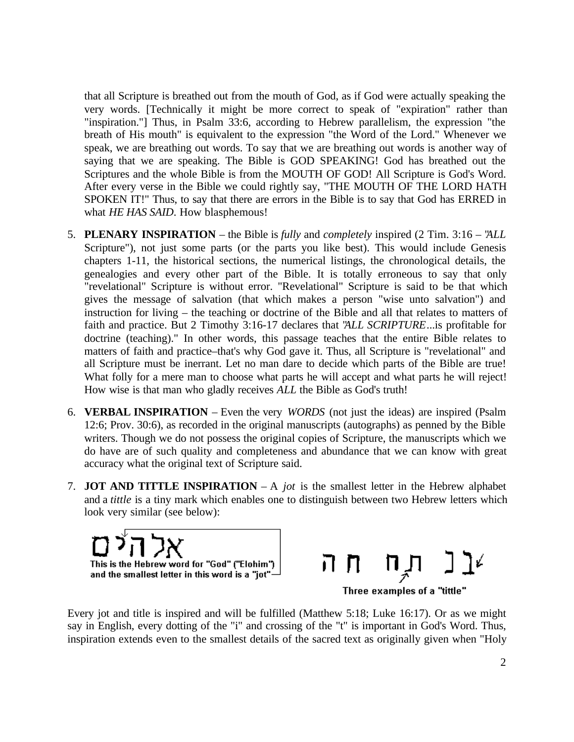that all Scripture is breathed out from the mouth of God, as if God were actually speaking the very words. [Technically it might be more correct to speak of "expiration" rather than "inspiration."] Thus, in Psalm 33:6, according to Hebrew parallelism, the expression "the breath of His mouth" is equivalent to the expression "the Word of the Lord." Whenever we speak, we are breathing out words. To say that we are breathing out words is another way of saying that we are speaking. The Bible is GOD SPEAKING! God has breathed out the Scriptures and the whole Bible is from the MOUTH OF GOD! All Scripture is God's Word. After every verse in the Bible we could rightly say, "THE MOUTH OF THE LORD HATH SPOKEN IT!" Thus, to say that there are errors in the Bible is to say that God has ERRED in what *HE HAS SAID*. How blasphemous!

- 5. **PLENARY INSPIRATION** the Bible is *fully* and *completely* inspired (2 Tim. 3:16 "*ALL* Scripture"), not just some parts (or the parts you like best). This would include Genesis chapters 1-11, the historical sections, the numerical listings, the chronological details, the genealogies and every other part of the Bible. It is totally erroneous to say that only "revelational" Scripture is without error. "Revelational" Scripture is said to be that which gives the message of salvation (that which makes a person "wise unto salvation") and instruction for living – the teaching or doctrine of the Bible and all that relates to matters of faith and practice. But 2 Timothy 3:16-17 declares that "*ALL SCRIPTURE*...is profitable for doctrine (teaching)." In other words, this passage teaches that the entire Bible relates to matters of faith and practice–that's why God gave it. Thus, all Scripture is "revelational" and all Scripture must be inerrant. Let no man dare to decide which parts of the Bible are true! What folly for a mere man to choose what parts he will accept and what parts he will reject! How wise is that man who gladly receives *ALL* the Bible as God's truth!
- 6. **VERBAL INSPIRATION** Even the very *WORDS* (not just the ideas) are inspired (Psalm 12:6; Prov. 30:6), as recorded in the original manuscripts (autographs) as penned by the Bible writers. Though we do not possess the original copies of Scripture, the manuscripts which we do have are of such quality and completeness and abundance that we can know with great accuracy what the original text of Scripture said.
- 7. **JOT AND TITTLE INSPIRATION** A *jot* is the smallest letter in the Hebrew alphabet and a *tittle* is a tiny mark which enables one to distinguish between two Hebrew letters which look very similar (see below):





Every jot and title is inspired and will be fulfilled (Matthew 5:18; Luke 16:17). Or as we might say in English, every dotting of the "i" and crossing of the "t" is important in God's Word. Thus, inspiration extends even to the smallest details of the sacred text as originally given when "Holy